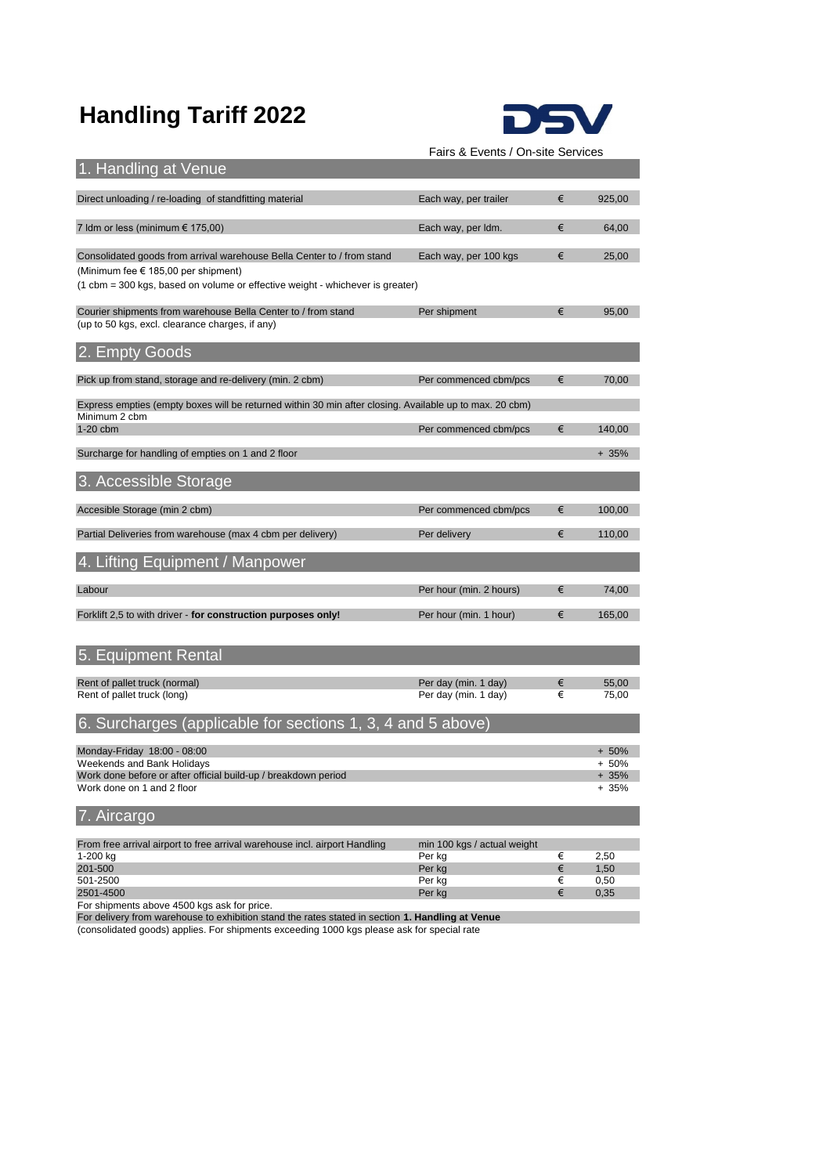# **Handling Tariff 2022**



Fairs & Events / On-site Services

201-500  $\epsilon$  1,50  $\epsilon$  1,50  $\epsilon$  1,50  $\epsilon$  1,50  $\epsilon$  1,50  $\epsilon$  1,50  $\epsilon$  1,50  $\epsilon$  1,50  $\epsilon$  1,50  $\epsilon$  1,50  $\epsilon$  1,50  $\epsilon$  1,50  $\epsilon$  1,50  $\epsilon$  1,50  $\epsilon$  1,50  $\epsilon$  1,50  $\epsilon$  1,50  $\epsilon$  1,50  $\epsilon$  1,50  $\epsilon$  1,50  $\epsilon$  1,50  $\epsilon$ 501-2500 Per kg € 0,50

| 1. Handling at Venue                                                                                                     |                                              |        |                  |  |  |
|--------------------------------------------------------------------------------------------------------------------------|----------------------------------------------|--------|------------------|--|--|
| Direct unloading / re-loading of standfitting material                                                                   | Each way, per trailer                        | €      | 925,00           |  |  |
| 7 Idm or less (minimum € 175,00)                                                                                         | Each way, per ldm.                           | €      | 64,00            |  |  |
| Consolidated goods from arrival warehouse Bella Center to / from stand<br>(Minimum fee € 185,00 per shipment)            | Each way, per 100 kgs                        | €      | 25,00            |  |  |
| (1 cbm = 300 kgs, based on volume or effective weight - whichever is greater)                                            |                                              |        |                  |  |  |
| Courier shipments from warehouse Bella Center to / from stand<br>(up to 50 kgs, excl. clearance charges, if any)         | Per shipment                                 | €      | 95,00            |  |  |
| 2. Empty Goods                                                                                                           |                                              |        |                  |  |  |
| Pick up from stand, storage and re-delivery (min. 2 cbm)                                                                 | Per commenced cbm/pcs                        | €      | 70,00            |  |  |
| Express empties (empty boxes will be returned within 30 min after closing. Available up to max. 20 cbm)<br>Minimum 2 cbm |                                              |        |                  |  |  |
| 1-20 cbm                                                                                                                 | Per commenced cbm/pcs                        | €      | 140,00           |  |  |
| Surcharge for handling of empties on 1 and 2 floor                                                                       |                                              |        | $+35%$           |  |  |
| 3. Accessible Storage                                                                                                    |                                              |        |                  |  |  |
| Accesible Storage (min 2 cbm)                                                                                            | Per commenced cbm/pcs                        | €      | 100,00           |  |  |
| Partial Deliveries from warehouse (max 4 cbm per delivery)                                                               | Per delivery                                 | €      | 110,00           |  |  |
| 4. Lifting Equipment / Manpower                                                                                          |                                              |        |                  |  |  |
| Labour                                                                                                                   | Per hour (min. 2 hours)                      | €      | 74,00            |  |  |
| Forklift 2,5 to with driver - for construction purposes only!                                                            | Per hour (min. 1 hour)                       | €      | 165,00           |  |  |
| 5. Equipment Rental                                                                                                      |                                              |        |                  |  |  |
|                                                                                                                          |                                              |        |                  |  |  |
| Rent of pallet truck (normal)<br>Rent of pallet truck (long)                                                             | Per day (min. 1 day)<br>Per day (min. 1 day) | €<br>€ | 55,00<br>75,00   |  |  |
| 6. Surcharges (applicable for sections 1, 3, 4 and 5 above)                                                              |                                              |        |                  |  |  |
| Monday-Friday 18:00 - 08:00                                                                                              |                                              |        | $+50%$           |  |  |
| Weekends and Bank Holidays<br>Work done before or after official build-up / breakdown period                             |                                              |        | $+50%$<br>$+35%$ |  |  |
| Work done on 1 and 2 floor                                                                                               |                                              |        | $+35%$           |  |  |
| 7. Aircargo                                                                                                              |                                              |        |                  |  |  |
| From free arrival airport to free arrival warehouse incl. airport Handling<br>1-200 kg                                   | min 100 kgs / actual weight                  | €      | 2,50             |  |  |
|                                                                                                                          | Per kg                                       |        |                  |  |  |

| 2501-4500 |  |  |
|-----------|--|--|
|           |  |  |

2501-4500 Per kg € 0,35

For shipments above 4500 kgs ask for price.

For delivery from warehouse to exhibition stand the rates stated in section **1. Handling at Venue**

(consolidated goods) applies. For shipments exceeding 1000 kgs please ask for special rate